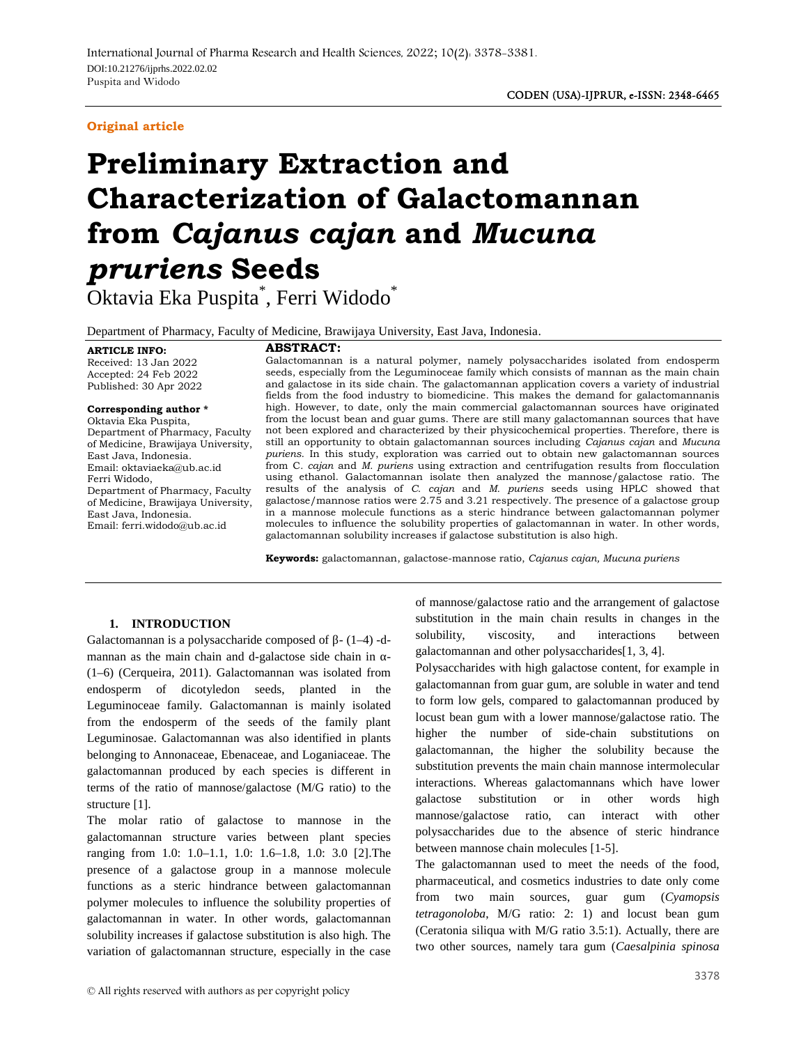# **Original article**

# **Preliminary Extraction and Characterization of Galactomannan from** *Cajanus cajan* **and** *Mucuna pruriens* **Seeds**

Oktavia Eka Puspita\* , Ferri Widodo\*

Department of Pharmacy, Faculty of Medicine, Brawijaya University, East Java, Indonesia.

**ARTICLE INFO:**

# **ABSTRACT:**

Received: 13 Jan 2022 Accepted: 24 Feb 2022 Published: 30 Apr 2022

**Corresponding author \***

Oktavia Eka Puspita, Department of Pharmacy, Faculty of Medicine, Brawijaya University, East Java, Indonesia. Email: oktaviaeka@ub.ac.id Ferri Widodo, Department of Pharmacy, Faculty of Medicine, Brawijaya University, East Java, Indonesia. Email: ferri.widodo@ub.ac.id

Galactomannan is a natural polymer, namely polysaccharides isolated from endosperm seeds, especially from the Leguminoceae family which consists of mannan as the main chain and galactose in its side chain. The galactomannan application covers a variety of industrial fields from the food industry to biomedicine. This makes the demand for galactomannanis high. However, to date, only the main commercial galactomannan sources have originated from the locust bean and guar gums. There are still many galactomannan sources that have not been explored and characterized by their physicochemical properties. Therefore, there is still an opportunity to obtain galactomannan sources including *Cajanus cajan* and *Mucuna puriens*. In this study, exploration was carried out to obtain new galactomannan sources from C*. cajan* and *M. puriens* using extraction and centrifugation results from flocculation using ethanol. Galactomannan isolate then analyzed the mannose/galactose ratio. The results of the analysis of *C. cajan* and *M. puriens* seeds using HPLC showed that galactose/mannose ratios were 2.75 and 3.21 respectively. The presence of a galactose group in a mannose molecule functions as a steric hindrance between galactomannan polymer molecules to influence the solubility properties of galactomannan in water. In other words, galactomannan solubility increases if galactose substitution is also high.

**Keywords:** galactomannan, galactose-mannose ratio, *Cajanus cajan, Mucuna puriens*

# **1. INTRODUCTION**

Galactomannan is a polysaccharide composed of  $-(1-4)$  -d-<br>solubility, mannan as the main chain and d-galactose side chain in -(1–6) (Cerqueira, 2011). Galactomannan was isolated from endosperm of dicotyledon seeds, planted in the Leguminoceae family. Galactomannan is mainly isolated from the endosperm of the seeds of the family plant Leguminosae. Galactomannan was also identified in plants belonging to Annonaceae, Ebenaceae, and Loganiaceae. The galactomannan produced by each species is different in terms of the ratio of mannose/galactose (M/G ratio) to the mueracuor<br>structure [1] galactose structure [1].

The molar ratio of galactose to mannose in the galactomannan structure varies between plant species ranging from 1.0: 1.0–1.1, 1.0: 1.6–1.8, 1.0: 3.0 [2].The presence of a galactose group in a mannose molecule functions as a steric hindrance between galactomannan pharmaceutical<br>notumer molecules to influence the solubility properties of from two polymer molecules to influence the solubility properties of galactomannan in water. In other words, galactomannan solubility increases if galactose substitution is also high. The variation of galactomannan structure, especially in the case

of mannose/galactose ratio and the arrangement of galactose substitution in the main chain results in changes in the viscosity, and interactions between galactomannan and other polysaccharides[1, 3, 4].

Polysaccharides with high galactose content, for example in galactomannan from guar gum, are soluble in water and tend to form low gels, compared to galactomannan produced by locust bean gum with a lower mannose/galactose ratio. The higher the number of side-chain substitutions on galactomannan, the higher the solubility because the substitution prevents the main chain mannose intermolecular interactions. Whereas galactomannans which have lower substitution or in other words high mannose/galactose ratio, can interact with other polysaccharides due to the absence of steric hindrance between mannose chain molecules [1-5].

The galactomannan used to meet the needs of the food, pharmaceutical, and cosmetics industries to date only come from two main sources, guar gum (*Cyamopsis tetragonoloba*, M/G ratio: 2: 1) and locust bean gum (Ceratonia siliqua with M/G ratio 3.5:1). Actually, there are two other sources, namely tara gum (*Caesalpinia spinosa*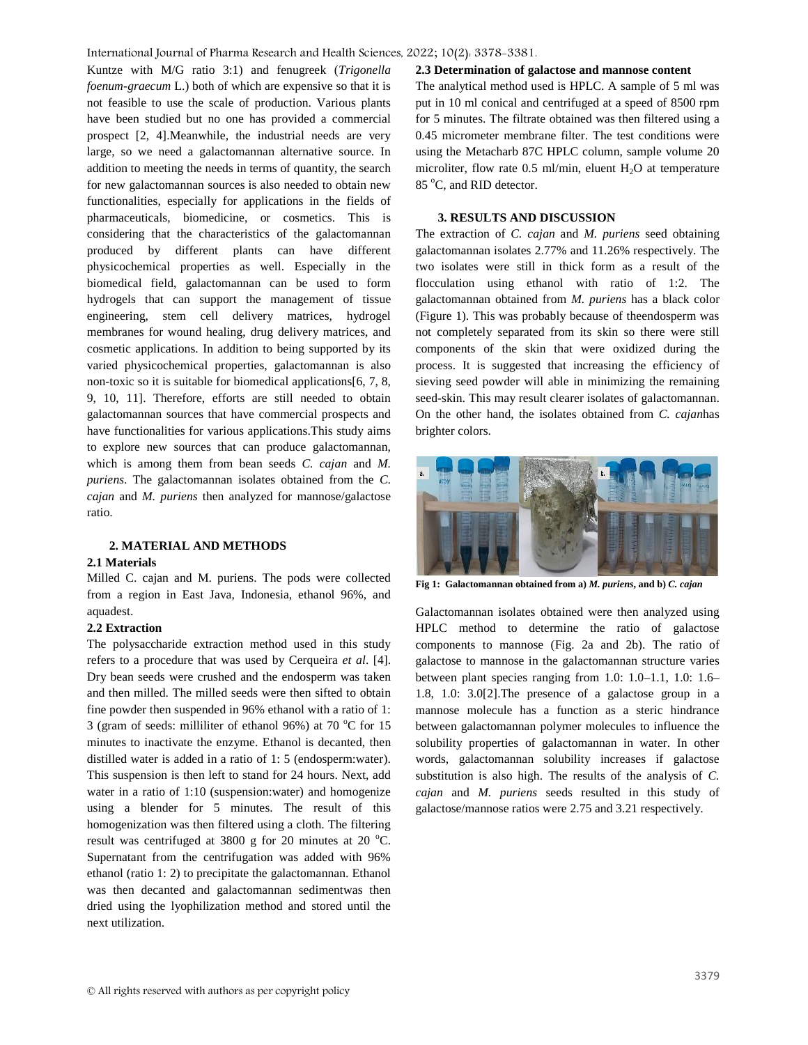# International Journal of Pharma Research and Health Sciences, 2022; 10(2): 3378-3381.

Kuntze with M/G ratio 3:1) and fenugreek (*Trigonella foenum-graecum* L.) both of which are expensive so that it is not feasible to use the scale of production. Various plants have been studied but no one has provided a commercial prospect [2, 4].Meanwhile, the industrial needs are very large, so we need a galactomannan alternative source. In addition to meeting the needs in terms of quantity, the search for new galactomannan sources is also needed to obtain new functionalities, especially for applications in the fields of pharmaceuticals, biomedicine, or cosmetics. This is considering that the characteristics of the galactomannan produced by different plants can have different physicochemical properties as well. Especially in the biomedical field, galactomannan can be used to form hydrogels that can support the management of tissue engineering, stem cell delivery matrices, hydrogel membranes for wound healing, drug delivery matrices, and cosmetic applications. In addition to being supported by its varied physicochemical properties, galactomannan is also non-toxic so it is suitable for biomedical applications[6, 7, 8, 9, 10, 11]. Therefore, efforts are still needed to obtain galactomannan sources that have commercial prospects and have functionalities for various applications.This study aims to explore new sources that can produce galactomannan, which is among them from bean seeds *C. cajan* and *M. puriens*. The galactomannan isolates obtained from the *C. cajan* and *M. puriens* then analyzed for mannose/galactose ratio.

# **2. MATERIAL AND METHODS**

# **2.1 Materials**

Milled C. cajan and M. puriens. The pods were collected from a region in East Java, Indonesia, ethanol 96%, and aquadest.

#### **2.2 Extraction**

The polysaccharide extraction method used in this study refers to a procedure that was used by Cerqueira *et al*. [4]. Dry bean seeds were crushed and the endosperm was taken and then milled. The milled seeds were then sifted to obtain fine powder then suspended in 96% ethanol with a ratio of 1: 3 (gram of seeds: milliliter of ethanol 96%) at 70  $^{\circ}$ C for 15 minutes to inactivate the enzyme. Ethanol is decanted, then distilled water is added in a ratio of 1: 5 (endosperm:water). This suspension is then left to stand for 24 hours. Next, add water in a ratio of 1:10 (suspension:water) and homogenize using a blender for 5 minutes. The result of this homogenization was then filtered using a cloth. The filtering result was centrifuged at 3800 g for 20 minutes at 20 $\degree$ C. Supernatant from the centrifugation was added with 96% ethanol (ratio 1: 2) to precipitate the galactomannan. Ethanol was then decanted and galactomannan sedimentwas then dried using the lyophilization method and stored until the next utilization.

# **2.3 Determination of galactose and mannose content**

The analytical method used is HPLC. A sample of 5 ml was put in 10 ml conical and centrifuged at a speed of 8500 rpm for 5 minutes. The filtrate obtained was then filtered using a 0.45 micrometer membrane filter. The test conditions were using the Metacharb 87C HPLC column, sample volume 20 microliter, flow rate  $0.5$  ml/min, eluent  $H<sub>2</sub>O$  at temperature 85 °C, and RID detector.

# **3. RESULTS AND DISCUSSION**

The extraction of *C. cajan* and *M. puriens* seed obtaining galactomannan isolates 2.77% and 11.26% respectively. The two isolates were still in thick form as a result of the flocculation using ethanol with ratio of 1:2. The galactomannan obtained from *M. puriens* has a black color (Figure 1). This was probably because of theendosperm was not completely separated from its skin so there were still components of the skin that were oxidized during the process. It is suggested that increasing the efficiency of sieving seed powder will able in minimizing the remaining seed-skin. This may result clearer isolates of galactomannan. On the other hand, the isolates obtained from *C. cajan*has brighter colors.



**Fig 1: Galactomannan obtained from a)** *M. puriens***, and b)** *C. cajan*

Galactomannan isolates obtained were then analyzed using HPLC method to determine the ratio of galactose components to mannose (Fig. 2a and 2b). The ratio of galactose to mannose in the galactomannan structure varies between plant species ranging from 1.0: 1.0–1.1, 1.0: 1.6– 1.8, 1.0: 3.0[2].The presence of a galactose group in a mannose molecule has a function as a steric hindrance between galactomannan polymer molecules to influence the solubility properties of galactomannan in water. In other words, galactomannan solubility increases if galactose substitution is also high. The results of the analysis of *C. cajan* and *M. puriens* seeds resulted in this study of galactose/mannose ratios were 2.75 and 3.21 respectively.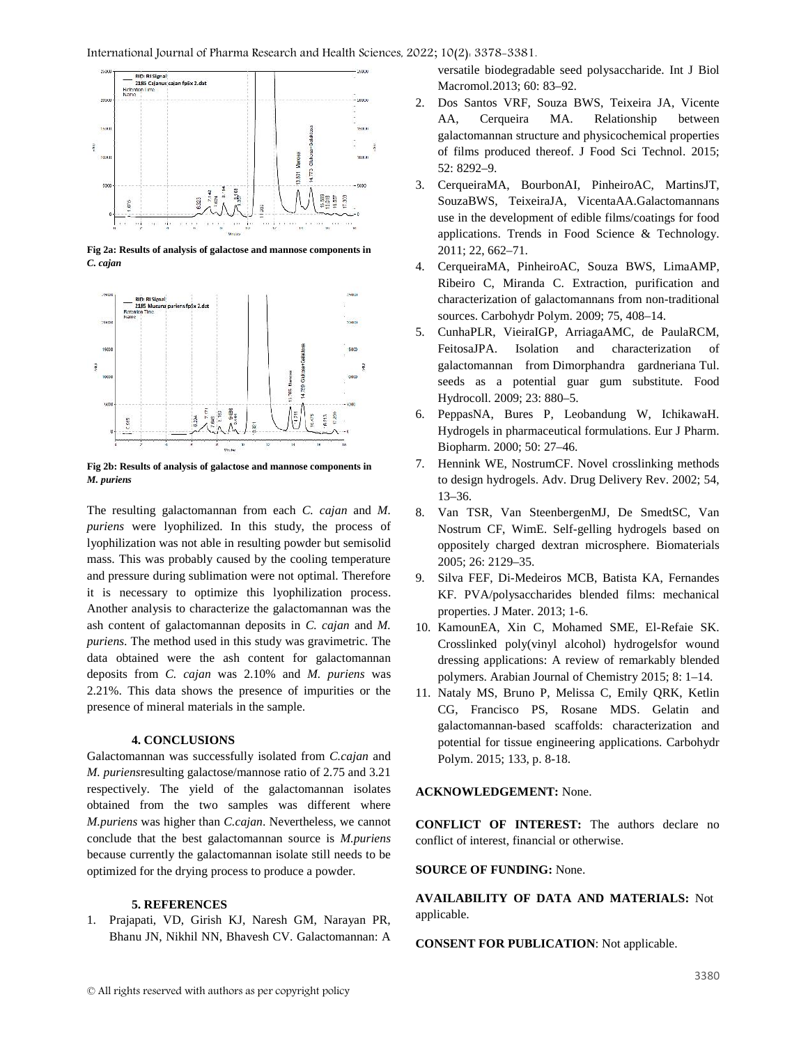

**Fig 2a: Results of analysis of galactose and mannose components in** *C. cajan*



**Fig 2b: Results of analysis of galactose and mannose components in** *M. puriens*

The resulting galactomannan from each *C. cajan* and *M. puriens* were lyophilized. In this study, the process of lyophilization was not able in resulting powder but semisolid mass. This was probably caused by the cooling temperature and pressure during sublimation were not optimal. Therefore it is necessary to optimize this lyophilization process. Another analysis to characterize the galactomannan was the ash content of galactomannan deposits in *C. cajan* and *M. puriens*. The method used in this study was gravimetric. The data obtained were the ash content for galactomannan deposits from *C. cajan* was 2.10% and *M. puriens* was 2.21%. This data shows the presence of impurities or the presence of mineral materials in the sample.

# **4. CONCLUSIONS**

Galactomannan was successfully isolated from *C.cajan* and *M. puriens*resulting galactose/mannose ratio of 2.75 and 3.21 respectively. The yield of the galactomannan isolates obtained from the two samples was different where *M.puriens* was higher than *C.cajan*. Nevertheless, we cannot conclude that the best galactomannan source is *M.puriens* because currently the galactomannan isolate still needs to be optimized for the drying process to produce a powder.

# **5. REFERENCES**

1. Prajapati, VD, Girish KJ, Naresh GM, Narayan PR, Bhanu JN, Nikhil NN, Bhavesh CV. Galactomannan: A

versatile biodegradable seed polysaccharide. Int J Biol Macromol.2013; 60: 83–92.

- 2. Dos Santos VRF, Souza BWS, Teixeira JA, Vicente AA, Cerqueira MA. Relationship between galactomannan structure and physicochemical properties of films produced thereof. J Food Sci Technol. 2015; 52: 8292–9.
- 3. CerqueiraMA, BourbonAI, PinheiroAC, MartinsJT, SouzaBWS, TeixeiraJA, VicentaAA.Galactomannans use in the development of edible films/coatings for food applications. Trends in Food Science & Technology. 2011; 22, 662–71.
- 4. CerqueiraMA, PinheiroAC, Souza BWS, LimaAMP, Ribeiro C, Miranda C. Extraction, purification and characterization of galactomannans from non-traditional sources. Carbohydr Polym. 2009; 75, 408–14.
- 5. CunhaPLR, VieiraIGP, ArriagaAMC, de PaulaRCM, FeitosaJPA. Isolation and characterization of galactomannan from Dimorphandra gardneriana Tul. seeds as a potential guar gum substitute. Food Hydrocoll. 2009; 23: 880–5.
- 6. PeppasNA, Bures P, Leobandung W, IchikawaH. Hydrogels in pharmaceutical formulations. Eur J Pharm. Biopharm. 2000; 50: 27–46.
- Hennink WE, NostrumCF. Novel crosslinking methods to design hydrogels. Adv. Drug Delivery Rev. 2002; 54, 13–36.
- 8. Van TSR, Van SteenbergenMJ, De SmedtSC, Van Nostrum CF, WimE. Self-gelling hydrogels based on oppositely charged dextran microsphere. Biomaterials 2005; 26: 2129–35.
- 9. Silva FEF, Di-Medeiros MCB, Batista KA, Fernandes KF. PVA/polysaccharides blended films: mechanical properties. J Mater. 2013; 1-6.
- 10. KamounEA, Xin C, Mohamed SME, El-Refaie SK. Crosslinked poly(vinyl alcohol) hydrogelsfor wound dressing applications: A review of remarkably blended polymers. Arabian Journal of Chemistry 2015; 8: 1–14.
- 11. Nataly MS, Bruno P, Melissa C, Emily QRK, Ketlin CG, Francisco PS, Rosane MDS. Gelatin and galactomannan-based scaffolds: characterization and potential for tissue engineering applications. Carbohydr Polym. 2015; 133, p. 8-18.

# **ACKNOWLEDGEMENT:** None.

**CONFLICT OF INTEREST:** The authors declare no conflict of interest, financial or otherwise.

# **SOURCE OF FUNDING:** None.

**AVAILABILITY OF DATA AND MATERIALS:** Not applicable.

**CONSENT FOR PUBLICATION**: Not applicable.